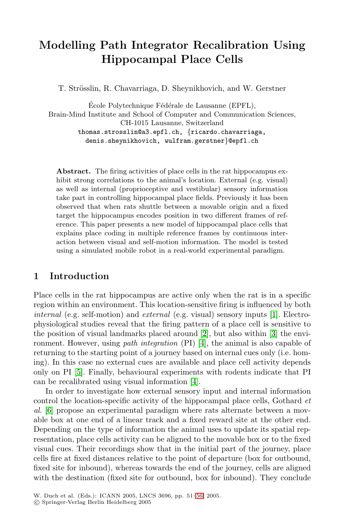# **Modelling Path Integrator Recalibration Using Hippocampal Place Cells**

T. Strösslin, R. Chavarriaga, D. Sheynikhovich, and W. Gerstner

École Polytechnique Fédérale de Lausanne (EPFL), Brain-Mind Institute and School of Computer and Communication Sciences, CH-1015 Lausanne, Switzerland thomas.strosslin@a3.epfl.ch, {ricardo.chavarriaga, denis.sheynikhovich, wulfram.gerstner}@epfl.ch

**Abstract.** The firing activities of place cells in the rat hippocampus exhibit strong correlations to the animal's location. External (e.g. visual) as well as internal (proprioceptive and vestibular) sensory information take part in controlling hippocampal place fields. Previously it has been observed that when rats shuttle between a movable origin and a fixed target the hippocampus encodes position in two different frames of reference. This paper presents a new model of hippocampal place cells that explains place coding in multiple reference frames by continuous interaction between visual and self-motion inform[ati](#page-5-0)on. The model is tested using a simulated mobile robot in a real-world experimental paradigm.

# **1 Introduction**

Place cells in the rat hippocampus are active only when the rat is in a specific region within an environm[en](#page-5-1)t. This location-sensitive firing is influenced by both internal (e.g. self-motion) and external (e.g. visual) sensory inputs [1]. Electrophysiological studies reveal that the firing pattern of a place cell is sensitive to the position of visual landmarks placed around [2], but also within [3] the environment. However, using path integration (PI) [4], the animal is also capable of returning to the starting point of a journey based on internal cues only (i.e. homing). In this case no external cues are available and place cell activity depends only on PI [5]. Finally, behavioural experiments with rodents indicate that PI can be recalibrated using visual information [4].

In order to investigate how external sensory input and internal information control the location-specific activity of the hippocampal place cells, Gothard et al. [6] propose an experimental paradigm where rats alternate between a movable box at one end of a li[nea](#page-5-2)r track and a fixed reward site at the other end. Depending on the type of information the animal uses to update its spatial representation, place cells activity can be aligned to the movable box or to the fixed visual cues. Their recordings show that in the initial part of the journey, place cells fire at fixed distances relative to the point of departure (box for outbound, fixed site for inbound), whereas towards the end of the journey, cells are aligned with the destination (fixed site for outbound, box for inbound). They conclude

W. Duch et al. (Eds.): ICANN 2005, LNCS 3696, pp. 51–56, 2005.

c Springer-Verlag Berlin Heidelberg 2005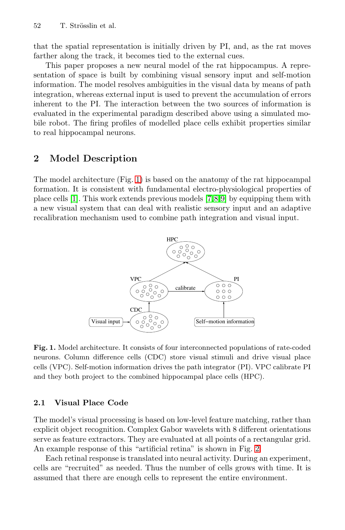52 T. Strösslin et al.

that the spatial representation is initially driven by PI, and, as the rat moves farther along the track, it becomes tied to the external cues.

This paper proposes a new neural model of the rat hippocampus. A representation of space is built by combining visual sensory input and self-motion information. The model resolves ambiguities in the visual data by means of path integration, whereas external input is used to prevent the accumulation of errors inherent [to](#page-1-0) the PI. The interaction between the two sources of information is evaluated in the experimental paradigm described above using a simulated mobile robot. The firing profiles [of](#page-5-3) [m](#page-5-4)[o](#page-5-5)delled place cells exhibit properties similar to real hippocampal neurons.

# **2 Model Description**

The model architecture (Fig. 1) is based on the anatomy of the rat hippocampal formation. It is consistent with fundamental electro-physiological properties of place cells [1]. This work extends previous models [7,8,9] by equipping them with a new visual system that can deal with realistic sensory input and an adaptive recalibration mechanism used to combine path integration and visual input.



<span id="page-1-0"></span>**Fig. 1.** Model architecture. It consists of four interconnected populations of rate-coded neurons. Column difference cells (CDC) store visual stimuli and drive visual place cells (VPC). Self-motion information drives the path integrator (PI). VPC calibrate PI and they both project to the combined hippoca[mp](#page-2-0)al place cells (HPC).

### **2.1 Visual Place Code**

The model's visual processing is based on low-level feature matching, rather than explicit object recognition. Complex Gabor wavelets with 8 different orientations serve as feature extractors. They are evaluated at all points of a rectangular grid. An example response of this "artificial retina" is shown in Fig. 2.

Each retinal response is translated into neural activity. During an experiment, cells are "recruited" as needed. Thus the number of cells grows with time. It is assumed that there are enough cells to represent the entire environment.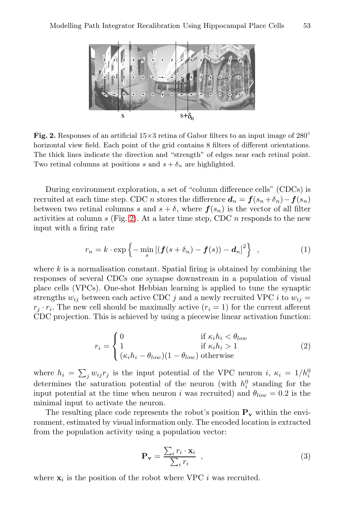

<span id="page-2-0"></span>**Fig. 2.** Responses of an artificial  $15\times3$  retina of Gabor filters to an input image of  $280^\circ$ horizont[al v](#page-2-0)iew field. Each point of the grid contains 8 filters of different orientations. The thick lines indicate the direction and "strength" of edges near each retinal point. Two retinal columns at positions s and  $s + \delta_n$  are highlighted.

During environment exploration, a set of "column difference cells" (CDCs) is recruited at each time step. CDC *n* stores the difference  $d_n = f(s_n + \delta_n) - f(s_n)$ between two retinal columns s and  $s + \delta$ , where  $f(s_n)$  is the vector of all filter activities at column s (Fig. 2). At a later time step, CDC n responds to the new input with a firing rate

$$
r_n = k \cdot \exp\left\{-\min_s \left[ \left(\boldsymbol{f}(s+\delta_n) - \boldsymbol{f}(s)\right) - \boldsymbol{d}_n\right]^2 \right\} \quad , \tag{1}
$$

where  $k$  is a normalisation constant. Spatial firing is obtained by combining the responses of several CDCs one synapse downstream in a population of visual place cells (VPCs). One-shot Hebbian learning is applied to tune the synaptic strengths  $w_{ij}$  between each active CDC j and a newly recruited VPC i to  $w_{ij} =$  $r_i \cdot r_i$ . The new cell should be maximally active  $(r_i = 1)$  for the current afferent CDC projection. This is achieved by using a piecewise linear activation function:

$$
r_i = \begin{cases} 0 & \text{if } \kappa_i h_i < \theta_{low} \\ 1 & \text{if } \kappa_i h_i > 1 \\ (\kappa_i h_i - \theta_{low})(1 - \theta_{low}) & \text{otherwise} \end{cases}
$$
 (2)

where  $h_i = \sum_j w_{ij} r_j$  is the input potential of the VPC neuron i,  $\kappa_i = 1/h_i^0$ determines the saturation potential of the neuron (with  $h_i^0$  standing for the input potential at the time when neuron i was recruited) and  $\theta_{low} = 0.2$  is the minimal input to activate the neuron.

The resulting place code represents the robot's position  $P_v$  within the environment, estimated by visual information only. The encoded location is extracted from the population activity using a population vector:

$$
\mathbf{P_v} = \frac{\sum_i r_i \cdot \mathbf{x}_i}{\sum_i r_i} \tag{3}
$$

where  $\mathbf{x}_i$  is the position of the robot where VPC i was recruited.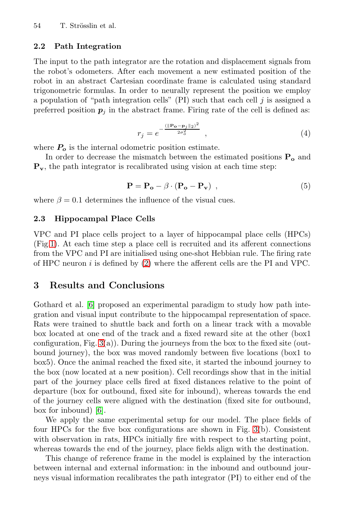54 T. Strösslin et al.

#### **2.2 Path Integration**

<span id="page-3-0"></span>The input to the path integrator are the rotation and displacement signals from the robot's odometers. After each movement a new estimated position of the robot in an abstract Cartesian coordinate frame is calculated using standard trigonometric formulas. In order to neurally represent the position we employ a population of "path integration cells" (PI) such that each cell  $j$  is assigned a preferred position  $p_j$  in the abstract frame. Firing rate of the cell is defined as:

$$
r_j = e^{-\frac{(\|\mathbf{P_o} - \mathbf{p}_j\|_2)^2}{2\sigma_o^2}} \tag{4}
$$

where  $P_o$  is the internal odometric position estimate.

In order to decrease the mismatch between the estimated positions **P<sup>o</sup>** and **Pv**, the path integrator is recalibrated using vision at each time step:

$$
\mathbf{P} = \mathbf{P_o} - \beta \cdot (\mathbf{P_o} - \mathbf{P_v}) \tag{5}
$$

where  $\beta = 0.1$  determines the influence of the visual cues.

### **2.3 Hippocampal Place Cells**

VPC and PI place cells project to a layer of hippocampal place cells (HPCs) (Fig.1). At each time step a place cell is recruited and its afferent connections from the VPC and PI are initialised using one-shot Hebbian rule. The firing rate [of](#page-4-0) HPC neuron  $i$  is defined by  $(2)$  where the afferent cells are the PI and VPC.

## **3 Results and Conclusions**

Gothard et al. [6] proposed an experimental paradigm to study how path integration and visual input contribute to the hippocampal representation of space. Rats were trained to shuttle back and forth on a linear track with a movable [b](#page-5-6)ox located at one end of the track and a fixed reward site at the other (box1 configuration, Fig. 3(a)). During the journeys from the box to the fixed site (outbound journey), the box was moved rando[ml](#page-4-0)y between five locations (box1 to box5). Once the animal reached the fixed site, it started the inbound journey to the box (now located at a new position). Cell recordings show that in the initial part of the journey place cells fired at fixed distances relative to the point of departure (box for outbound, fixed site for inbound), whereas towards the end of the journey cells were aligned with the destination (fixed site for outbound, box for inbound) [6].

We apply the same experimental setup for our model. The place fields of four HPCs for the five box configurations are shown in Fig. 3(b). Consistent with observation in rats, HPCs initially fire with respect to the starting point, whereas towards the end of the journey, place fields align with the destination.

This change of reference frame in the model is explained by the interaction between internal and external information: in the inbound and outbound journeys visual information recalibrates the path integrator (PI) to either end of the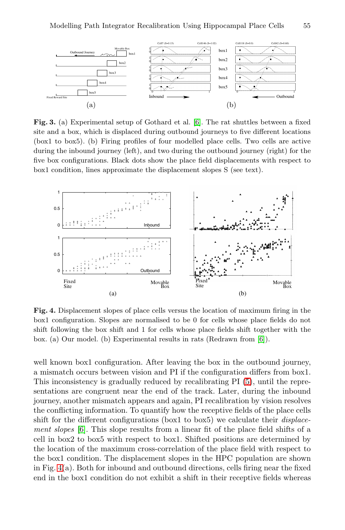<span id="page-4-0"></span>

Fig. 3. (a) Experimental setup of Gothard et al. [6]. The rat shuttles between a fixed site and a box, which is displaced during outbound journeys to five different locations (box1 to box5). (b) Firing profiles of four modelled place cells. Two cells are active during the inbound journey (left), and two during the outbound journey (right) for the five box configurations. Black dots show the place field displacements with respect to box1 condition, lines approximate the displacement slopes S (see text).



**Fig. 4.** Displacement slopes of place cells ver[su](#page-3-0)s the location of maximum firing in the box1 configuration. Slopes are normalised to be 0 for cells whose place fields do not shift following the box shift and 1 for cells whose place fields shift together with the box. (a) Our model. (b) Experimental results in rats (Redrawn from [6]).

well known box1 configuration. After leaving the box in the outbound journey, a mismatch occurs between vision and PI if the configuration differs from box1. This inconsistency is gradually reduced by recalibrating PI (5), until the representations are congruent near the end of the track. Later, during the inbound journey, another mismatch appears and again, PI recalibration by vision resolves the conflicting information. To quantify how the receptive fields of the place cells shift for the different configurations (box1 to box5) we calculate their *displace*ment slopes [6]. This slope results from a linear fit of the place field shifts of a cell in box2 to box5 with respect to box1. Shifted positions are determined by the location of the maximum cross-correlation of the place field with respect to the box1 condition. The displacement slopes in the HPC population are shown in Fig. 4(a). Both for inbound and outbound directions, cells firing near the fixed end in the box1 condition do not exhibit a shift in their receptive fields whereas